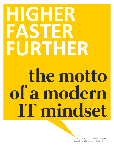## **HIGHER FASTER FURTHER the motto of a modern IT mindset**

We will get you ahead of the game: ConSol Consulting & Solutions Software GmbH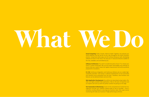# **What We Do**

**Cloud Computing:** Public, Private, Hybrid or Multi: Together, we evaluate your cloud readiness and we will be at your side throughout the entire transition process. Using cloud-native apps, we will continue along your path, developing software at home in the cloud. This way your IT resources become scalable to the max, available, and controlled by you.

**Software Architecture:** You want to modernize parts of your IT or renew your entire IT system landscape? We use the proper technologies and methods to ensure that your system meets the highest requirements and will be perfectly prepared for innovations.

**CI / CD:** Continuous Integration und Continuous Delivery aim at a stable highavailability operation. Each phase in software development can be automated and interface errors prevented from the start. Therefore, new functions and features can be delivered faster and error-free.

**Web Application Development:** You will be one step ahead using modern, flexible and highly available Web applications. Rely on 30 years of expertise and our experts will come up with the perfect solution for giving you the edge.

**Test Automation & Monitoring:** Count on the comprehensive ConSol test management and get your software release-ready as fast as possible – since a smoothly running software is securing your business value. Also, open source monitoring will make your business IT high performing at all times.

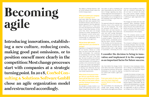## **Becoming agile**

**Introducing innovations, establishing a new culture, reducing costs, making good past omissions, or to position oneself more clearly in the competition: Most change processes start with companies at a strategic turning point. In 2018, ConSol Consulting & Solutions Software GmbH chose an agile organization model and restructured accordingly.**

We talked to Michael Beutner, CEO at ConSol Software GmbH, about the ConSol change project.

### **What persuaded your company to take a strategic turn?**

Until early 2018, the divisions marketing and sales were separate from the delivery division. Over the years, it became apparent, that this approach didn't really work for us. There were too many discrepancies and frictional losses in day-to-day business. At the same time, there were not enough impulses for further development of the company's current service portfolio. This was our reason to opt for transforming our organization into a more suitable, more agile form.

### **Did you know right away in which direction you wanted to change?**

Digitization is changing the framework for our business. Almost on a daily base, we have to deal with new and better technologies. Our customers are developing new business models much faster than even a few years ago. We have to address this and that is why ConSol has to position itself in a way that enables us to compete successfully in this environment for years to come. Our answer was looking for an organizational form that allowed us to develop more efficiently. We have to react faster and more flexible to new market requirements.

**What kind of structural changes did you specifically implement and do they have a positive effect on the team culture and the frictional losses mentioned before?** 

We decided to divide ConSol in separate self-organizing business units. Each business unit has its own busisales responsibility but also the freedom of design regarding new ideas, was important to us to strengthen cothe employees and to give them the suited us. space to try things.

This approach allows for making many decisions, close to the customer and close to the employees. This made decide faster and have become extremely more agile. Teams within the res and processes in the company. units and units among themselves communicate more and more directly. Feedback loops immediately lead to project progress. These are all important factors, considerably promoting the teams' intrinsic motivation. ticularly apparent. Development and operations go hand in hand. We optimize processes with a high degree

ness plans as well as marketing and and that it was possible to interlink it content alignment and investments. It but could assume already existing responsibility and co-management of in defining an agile organization that with our company's philosophy. We did not have to reinvent the wheel and functioning parts. We succeeded

rate. Even before the change, ConSol work ethics have been characterized by trusting the individual. Still we kept developing in this aspect by aligning our culture with modern, agile work practices.

our processes more dynamic – we ferred one-to-one, but made it much The changes we made were very well prepared. Many employees already had years of experience with agile methods. Of course, this couldn't be transeasier to implement the new structu-

### **From your point of view, what were the most important success factors in this change project?**

The preconditions for executing the change were already existing. We knew exactly what agility was all about

In the DevOps unit this becomes par-The company's willingness to change. of automation, minimizing the error bring such change about. We were As already indicated, there was some friction before 2018 and therefor there was motivation in the company to

Trust: The company owners as well as management and the key-players were convinced of this change and trusted it to work.

fortunate to have employees interested in taking on responsibility and in designing and that definitely helped to realize the model aspired.

I consider the decision to bring in innovation and implement it in the company as an important factor for future success. To be prepared for the future, we want to pick up emerging technologies and become experts in these fields. We are continuously developing here, so change will remain a part of us, with regard to our organization as well as to defining our strategy and our fields of business.

### **I consider the decision to bring in innovation and implement it in the company as an important factor for future success.**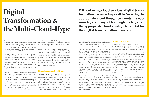### **Digital Transformation & the Multi-Cloud-Hype**

There is no mistaking that companies won't be able to afford ignoring the digital transformation. Key component here is the change of business models brought about by IT processes. New ideas are being developed, critically reflecting on existing structures and procedures. A company's willingness to tackle necessary changes today will determine its competitiveness and viability tomorrow.

Essential prerequisites for digitization are process and data analyses as well as a consolidated view of all existing data. This implies a comprehensive compilation of already existing IT systems and the establishment of a common IT platform for the company. Into this platform, companies also have to integrate present stand-alone solutions often correlating with media disruption and time loss. The objective is to provide metrics of all processes from former operating divisions as self-service and transparent for controlling.

Here, the subject of business intelligence (BI) is playing a decisive role. Companies willing to promote digital transformation need a central BI solution with a central data pool. By systematically evaluating their data, companies can gain important insights for optimizing their business processes. Business intelligence solutions for example offer support in reducing costs, minimize risks and discover new market prospects. And what is more, technologies provide companies with many other evaluation options for the analysis of large unstructured quantities of data – the keyword here is big data.

Necessary prerequisites for the digital transformation like

the implementation of digital business processes, the data consolidation or implementing a BI solution, already demonstrate one thing quite clearly: Digitization definitely comes with more IT.

Digitization requires a multitude of applications and services demonstrating high agility, great flexibility, and big scalability. From cost perspective alone, it becomes obvious that no company can cope with this task completely autonomously. Here the cloud comes in, providing the tools and information necessary, e.g. in the field of big data. There are, for example, globally collected data, encrypted, and processed on a big data platform of a public cloud, made available to the the end customer via BI solutions – almost in real time and as self-service – and without days of manual processing.

Therefor, as the IDC survey "Cloud Computing in Deutschland" outlines, multi-cloud environments may not always represent the best choice for small or medium-sized

### **Digitization requires Cloud Strategy**

Thus, digitization and cloud strategy go hand in hand, raising questions for the cloud model that meets the company specific requirements best: a private, public, hybrid or even a multi-cloud. Current trends point to multi-cloud approaches, running the required company applications with various public cloud providers. However, the notion of multi-cloud is often very broadly interpreted. It's worth discussing if we are talking multi-cloud already, when a company purchases Office from the Microsoft cloud while simultaneously running a virtual machine (VM) on Amazon web services. Either way multi-cloud begins where different services are actually integrated – for instance if a common authentication is used between services or if services are communicating seamlessly in the background.

Three aspects in particular advocate the multi-cloud: For one, a company can use it to pursue a best-of-breed approach; Microsoft Azure, for example, is better suited than the Google cloud for internet-of-things (IoT) applications, while the google cloud scores better in other areas. Second, the multi-cloud reduces dependency on one single provider which enables the company to remain flexible in case of a change in one service's terms and conditions may have negative effects or of a service terminated completely. Third, the use of a multi-cloud allows for combining compliance and dynamics; companies are able to use German Providers for using services with high compliance requirements while for all other services they may use the flexible, highly scalable infrastructures of large public cloud providers. companies, even if they are being hyped at the moment. An interesting result was, that many developers regard "multi clouds as the presently most promising approach for optimizing required IT resources and IT infrastructures". However, a company must not ignore that multi-cloud uses inevitably imply immense challenges, e.g. with regard to greater administrative efforts, developing data silos, or  $-$  to put it cautiously  $-$  the not quite economical move of data between clouds. Choosing one single cloud provider therefor may be the best solution if a company has a clearly defined core business and is able to cover for required services quite well with one single provider. Actually, this may apply for a larger company as well.

### **Digitization challenges IT**

These multi-cloud advantages are basically valid for all companies, still they actually take effect only in larger corporations – because of the required solution variety. In most cases, small or medium-sized companies focus on a distinctly specified core business. It is therefore unlikely, that in the frame of digital transformation they might require simultaneously IoT suites, the most developer friendly machine learning environment and the fastest bare metal machines. Yet regardless of the cloud model a company prefers in implementing its digitization strategy – one single aspect will always be valid: There is not one single strategy for cloud services that suits all companies. This is why companies as a rule choose a partner who provides individual advice and develops a tailored master plan – which is the only way a successful digital transformation can be assured.

**Without using cloud services, digital transformation becomes impossible. Selecting the appropriate cloud though confronts the outsourcing company with a tough choice, since the appropriate cloud strategy is crucial for the digital transformation to succeed.**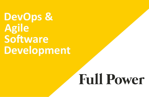## **Full Power**



**DevOps & Agile Software Development**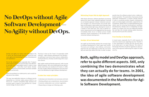**Both, agility model and DevOps approach, refer to quite different aspects. Still, only combining the two demonstrates what they can actually do for teams. In 2001, the idea of agile software development was documented in the Manifesto for Agile Software Development.** 

### **No DevOps without Agile Software Development – No Agility without DevOps.**

First of all, companies and especially their IT departments want to work more economically, more efficiently and with more dependable results in order to save  $time$  and money – and often much hassle. Simultaneously, companies promise better and faster available products and services.

DevOps and agility are notions well embedded in the IT sector. Yet, what actually drives this pursuit for ever more agility and interlocking the fields of development and operations?

Teams are working in so-called sprints, each usually lasting two to four weeks.

This way, new application features or software may be dispatched as a minimal viable product (MVP) in no time at all – a distinct competitive edge. However, this economic goal is based on the demand for a fundamental change of culture within IT.

The focus is here on the "hows" of cooperation. Both methods – agile software development and DevOps – are defining a new kind of team culture, collaboration, and fault tolerance, thereby transforming entire corporate cultures.

Both, agility model and DevOps approach, refer to quite different aspects. Still, only combining the two demonstrates what they can actually do for teams. In 2001, the idea of agile software development was documented in the Manifesto for Agile Software Development.

### **It states four major principles:**

- Individuals and interactions over processes and tools
- Working software over comprehensive documentation
- Customer collaboration over contract negotiation
- Responding to change over following a plan

You might say that DevOps perfects the concept of agile software development or that it goes even further. The teams are working in close alliance, communicating from the very beginning on what Dev can do for Ops and what Ops needs from Dev in order to subse-In recent years, especially the IT's shift towards the cloud has raised issues regarding security. Therefor it is only reasonable to include also the security team as an active part in an app's lifecycle. The notion of DevSecOps therefore should be regarded an advancement of the approach addressing the subject of cyber security.

### **DevOps: All are Networked**

**Minimizing Project Risk by Agile Approach** With theses demands, software developers are leaving behind the classic linear waterfall approach, focusing on an iterative approach instead. Customers and project managers are interconnected and provide feedback on the project's status within short intervals. New code is being tested right away, allowing for results on a weekly or even daily base. Also, new or altered customer requirements can be integrated into the process immediately. Both, Scrum or Kanban process models represent central components in the iterative and incremental software development. quently have the software product enter a stable productive operation. The automation of processes during application development is another DevOps feature. In order to accelerate product dispatch, development cycles are being largely automated, supported by CI/ CD pipelines. Ideally there is a mixed development operations team for ensuring interdisciplinary workflows. Simultaneously, DevOps aims at integrating all stakeholders of a project from the very beginning: Besides Dev and Ops, this includes testing, quality assurance, security and of course the customer.

### **From DevOps to DevSecOps**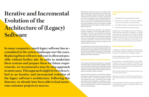### **Iterative and Incremental Evolution of the Architecture of (Legacy) Software**

**In many companies, much legacy software has accumulated in the system landscape over the years. Replacing them with new software is often not possible without further ado. In order to modernize these systems and prepare them for future requirements, we recommend a step-by-step approach in most cases. This approach might be best described as an iterative and incremental evolution of the legacy software's architecture. Following this itinerary, we already have been able to lead numerous customer projects to success.**

Agile process models such as Scrum or Kanban represent key elements in the iterative and incremental evolution of the legacy software architecture. Since agile methods work with software increments, the development team immediately starts solving existing problems. The old software is being improved regularly so that the customer or an (external) test team can check the results frequently. Due to the continuous, flexibly adaptable planning it is possible to consider change re-3. The professional logic is located exclusively inside. quests at any time.

The architecture's goal should always be a separation of professionalism and technology. A hexagon architecture is particularly suitable for this (according to Alistair Cockburn; also: Ports and Adapters, Onion Architecture according to Jeffrey Palermo, Clean Architecture according to "Uncle Bob" / Robert C. Martin).

### **Hexagon Architecture is Target Architecture**

Another mainstay of this procedure is the customer's economic evaluation of costs and benefits of the improvements. This links any improvement of the legacy software's internal quality as well as any modernization of the architecture to the creation of business value. The modernization can thus be controlled based on business parameters. The fact that the customer himself prioritizes the improvements, brings his most urgent problems into focus. Software built in the Hexagon architecture is easier to modify, test and understand. Compared to a classical layer architecture, this approach minimizes the danger that domain-oriented logic is implemented outside the domain-oriented core, e.g. in the user interface or the database, and is thus distributed uncontrolled. The result: less technical guilt and improved maintainability.

The agile approach also improves communication, enhanced by constant contact and exchange between the project partners: short, efficient communication channels enable quick feedback. Decisions are made jointly. Regular meetings as well as Sprint Backlog and Product Backlog ensure high transparency. **Proven Supporting Techniques** In addition to architecture migration techniques, proven methods support the iterative and incremental evolution of the architecture of (legacy) software:

### **The Hexagon architecture follows these principles:**

- 1. Inside doesn't know anything about outside.
- The interior can handle any concrete implementations of the interfaces in the external area.
- 
- 4. The technical details are exclusively exterior.

Instead of thinking in layers, this architecture distinguishes between inside and outside. The interior contains the domain model, i.e. the implementation of the domain-oriented use cases. The external area includes everything else like integration, persistence, and UI. The communication between inside and outside takes place via interfaces (Ports), which are implemented in the outer area (Adapters). Deployment variants with Blue/Green Deployment or Canary Release help to roll out the software with low risk. The monitoring of the business services instead of the monitoring of hosts allows a significantly better monitoring of the software.

A feature toggle allows a feature under development to be turned on and off at runtime.

More resilience is achieved through the use of stability patterns such as circuit breakers or bulkheads. This means that the software can also maintain its essential functions in the event of failures and malfunctions instead of failing completely.

With the help of experiments, the team can learn a lot and make better decisions.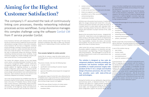Europ Assistance Germany with headquarters in Munich focuses on travel insurances, healthcare services and roadside assistance coverage. Similar to many other companies, Europ Assistance did not have an integrated, consistent selves. process landscape, resulting in frictional losses across departments as well as in system discontinuities and sometimes even media disruptions. The company's IT assumed the task of continuously linking core processes, thereby networking individual processes across workflows. Europ Assistance manages this complex challenge using the software ConSol CM from IT service provider ConSol.

The ConSol CM software solution can be used flexibly across sectors, providing elementary functions for business process management (BPM), customer relationship management (CRM) and case management. It can be a process platform for digitizing processes i.e. providing flexible configuration options covering company-specific as well as sector-specific processes. It supports individual process design and automated or semi-automated process execution. Open interfaces allow for the solution to be seamlessly integrated into existing IT landscapes.

- customer contact
- specification and recording of customer request
- feasibility check
- approval of feasibility and pricing by the management
- sending offer

Up to now, Europ Assistance has modelled more than ten processes using the ConSol solution, among others for key tasks in the areas of IT helpdesk, finance, facility management, human resources, underwriting, product launches, approvals, release management and the selection of service providers. At the beginning, design and implementation of the first processes were assumed by ConSol con-

sultants, already working inhouse though. This way, Europ Assistance employees were able to obtain the necessary know-how for implementing all further workflows them-

### **Three examples highlight the solution potential:**

ConSol CM, for instance, maps the entire tender and underwriting process, which is of central importance for each insurance.

The process includes, inter alia, the following steps:

The application range of ConSol CM is also reflected by the IT helpdesk sector using ConSol CM as an audit-proof tool. It provides the foundation for processing support requests, documenting change requests and logging.

ConSol CM maps all basic functions of a ticket system:

• tickets have defined ticket fields and optional mandatory fields;

### **Aiming for the Highest Customer Satisfaction?**

The company's IT assumed the task of continuously linking core processes, thereby networking individual processes across workflows. Europ Assistance manages this complex challenge using the software ConSol CM from IT service provider ConSol.

- random comments and attachments can be supplemented;
- e-mails can be sent from the ticket and to the ticket;
- tickets are assigned to an editor;
- possibility to sort or filter according to priority and processing status;
- resubmission function.

"With ConSol CM, we have a powerful process and communication platform enabling us to streamline and optimize processes", says Sigrid Krug, IT Project Management with Europ Assistance . "Key advantages to us are the networking of departments as well as the superordinate view of subprocesses."

Still fairly new is the product launch process. It starkly highlights the changes achieved with ConSol CM. In the past, numerous documents had been sent within the frame of a product launch, to some extent with redundant information. Executing subtasks had become difficult to trace. Overall, there had been no proper overview of the "state of affairs". The ConSol CM advantages for Europ Assistance at a glance: audit safety • flexibility transparence • traceability

Among the functions are e.g. dashboards, drag-and-drop, quick-and-easy search, or keyboard shortcuts. The administration tool allows for a target-oriented management of the ConSol CM system, with settings e.g. for roles and access rights, user management and data models. A graphical configuration supports the process design and, by

Based on the new product launch process – designed with ConSol CM – today there is only one single product launch ticket serving as information medium for all departments involved. It includes all relevant information, clearly defines responsibilities, monitors the status, and provides full traceability. This way, the insurer has a 100% overview right at the onset of a product launch. • networking various departments improved communication uniform "look & feel" Besides ConSol CM, Europ Assistance also decided for the add-on CM/Track. This portal solution for instance enables all employees to use the IT helpdesk in the intranet.

means of intuitive modelling tools, business processes can be tailored extremely flexibly and according to the respective requirements.

Natalia Wagner, responsible for the ConSol CM development at Europ Assistance, emphasizes: "From a technical viewpoint, the ConSol solution's simple and flexible design of processes is a definite highlight. It provides a high scalability, is extremely configurable in customization and able to map complex processes."

- 
- 
- 
- 
- avoiding redundancy
- 
- 
- 

A user of this solution may e.g.

- open tickets
- monitor tickets
- comment on tickets
- send attachments or
- search for solutions in the FAQ.

Europ Assistance IT is continuously analyzing the possibility of mapping process scenarios with the solution. It has already been decided to introduce a project portfolio management process. Currently in consideration are also subjects like contract management or product approval. ..In general, it is recommended to always explore the possibility to use ConSol CM for implementing entirely new processes", Sigrid Krug emphasizes. "After all, the solution is used by almost all our departments and the IT has many years of experience plus comprehensive know-how in working with this solution. And last but not least, we can always count on ConSol's dedicated support." **The solution is designed as low code development platform, basically providing departments and business analysts with the possibility to model processes largely independent of the IT. For a simple and intuitive design of business processes, the user interface provides users with state-of-the-art web technologies.**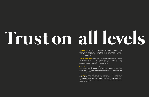## **Trust on all levels**

**IT Consulting:** Open source monitoring, cloud computing or architecture consulting – our specialists may either support you with their expertise or assume your entire IT project management. Your individual situation defines the range of our optimal support.

**Software Engineering:** Modern software architecture, future-proof IT integration, a tailored CI/CD pipeline or Web application development – we will help you master the challenges of digitization. Our focus is always on the best possible solution: the one promoting your business model.

**IT Solutions:** We are Red Head partners and experts for Red Hat products like OpenShift. In test automation and monitoring we use inhouse developed open-source products like Citrus or Sakuli. With ConSol CM we also provide a solution for digitizing business processes. Together we will tackle every technological challenge!



**IT Operations:** Managed services, IT operations or support – have experts handle availability, performance and safety of your IT systems and applications. You define your SLAs. We ensure the efficient and smooth performance of your IT, supporting you 24/7.